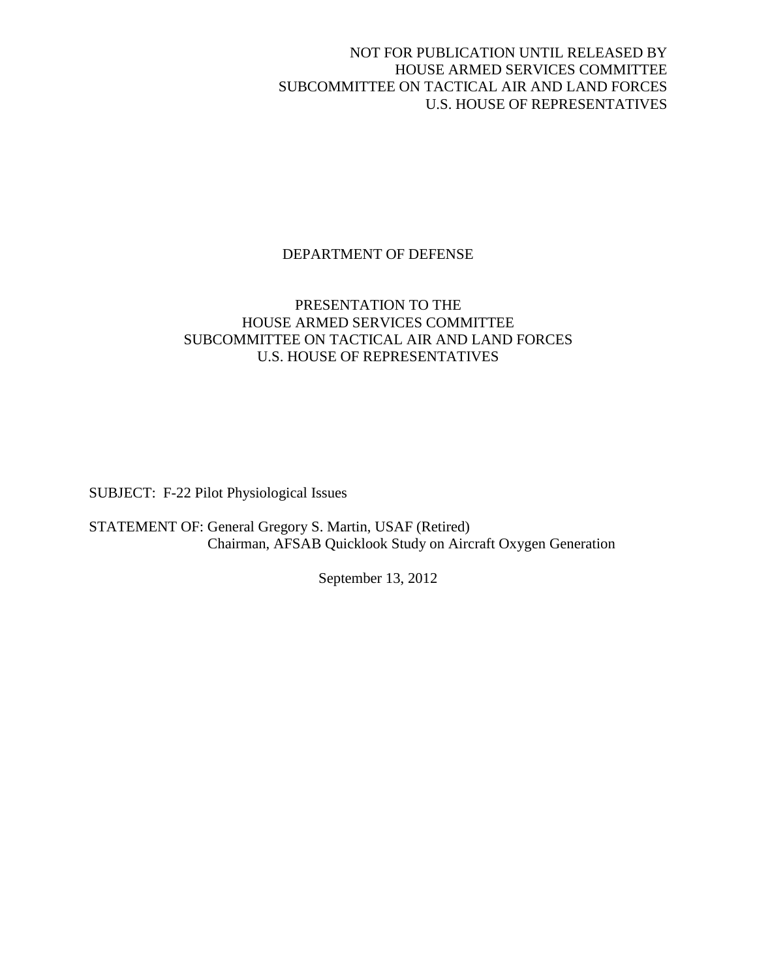NOT FOR PUBLICATION UNTIL RELEASED BY HOUSE ARMED SERVICES COMMITTEE SUBCOMMITTEE ON TACTICAL AIR AND LAND FORCES U.S. HOUSE OF REPRESENTATIVES

# DEPARTMENT OF DEFENSE

## PRESENTATION TO THE HOUSE ARMED SERVICES COMMITTEE SUBCOMMITTEE ON TACTICAL AIR AND LAND FORCES U.S. HOUSE OF REPRESENTATIVES

SUBJECT: F-22 Pilot Physiological Issues

STATEMENT OF: General Gregory S. Martin, USAF (Retired) Chairman, AFSAB Quicklook Study on Aircraft Oxygen Generation

September 13, 2012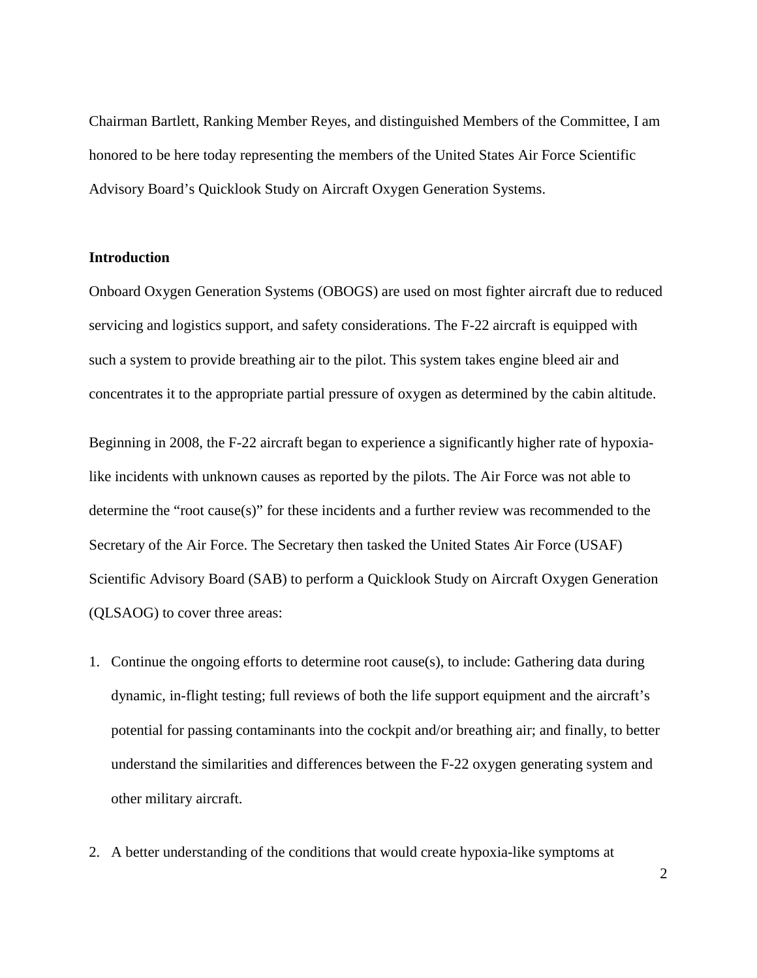Chairman Bartlett, Ranking Member Reyes, and distinguished Members of the Committee, I am honored to be here today representing the members of the United States Air Force Scientific Advisory Board's Quicklook Study on Aircraft Oxygen Generation Systems.

### **Introduction**

Onboard Oxygen Generation Systems (OBOGS) are used on most fighter aircraft due to reduced servicing and logistics support, and safety considerations. The F-22 aircraft is equipped with such a system to provide breathing air to the pilot. This system takes engine bleed air and concentrates it to the appropriate partial pressure of oxygen as determined by the cabin altitude.

Beginning in 2008, the F-22 aircraft began to experience a significantly higher rate of hypoxialike incidents with unknown causes as reported by the pilots. The Air Force was not able to determine the "root cause(s)" for these incidents and a further review was recommended to the Secretary of the Air Force. The Secretary then tasked the United States Air Force (USAF) Scientific Advisory Board (SAB) to perform a Quicklook Study on Aircraft Oxygen Generation (QLSAOG) to cover three areas:

- 1. Continue the ongoing efforts to determine root cause(s), to include: Gathering data during dynamic, in-flight testing; full reviews of both the life support equipment and the aircraft's potential for passing contaminants into the cockpit and/or breathing air; and finally, to better understand the similarities and differences between the F-22 oxygen generating system and other military aircraft.
- 2. A better understanding of the conditions that would create hypoxia-like symptoms at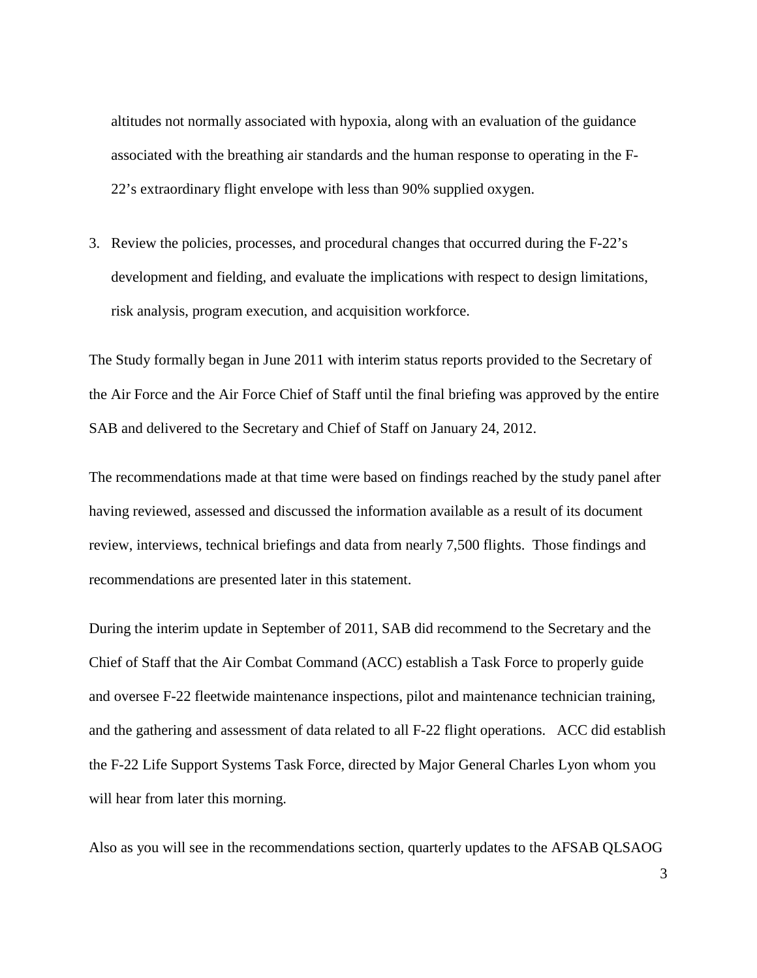altitudes not normally associated with hypoxia, along with an evaluation of the guidance associated with the breathing air standards and the human response to operating in the F-22's extraordinary flight envelope with less than 90% supplied oxygen.

3. Review the policies, processes, and procedural changes that occurred during the F-22's development and fielding, and evaluate the implications with respect to design limitations, risk analysis, program execution, and acquisition workforce.

The Study formally began in June 2011 with interim status reports provided to the Secretary of the Air Force and the Air Force Chief of Staff until the final briefing was approved by the entire SAB and delivered to the Secretary and Chief of Staff on January 24, 2012.

The recommendations made at that time were based on findings reached by the study panel after having reviewed, assessed and discussed the information available as a result of its document review, interviews, technical briefings and data from nearly 7,500 flights. Those findings and recommendations are presented later in this statement.

During the interim update in September of 2011, SAB did recommend to the Secretary and the Chief of Staff that the Air Combat Command (ACC) establish a Task Force to properly guide and oversee F-22 fleetwide maintenance inspections, pilot and maintenance technician training, and the gathering and assessment of data related to all F-22 flight operations. ACC did establish the F-22 Life Support Systems Task Force, directed by Major General Charles Lyon whom you will hear from later this morning.

Also as you will see in the recommendations section, quarterly updates to the AFSAB QLSAOG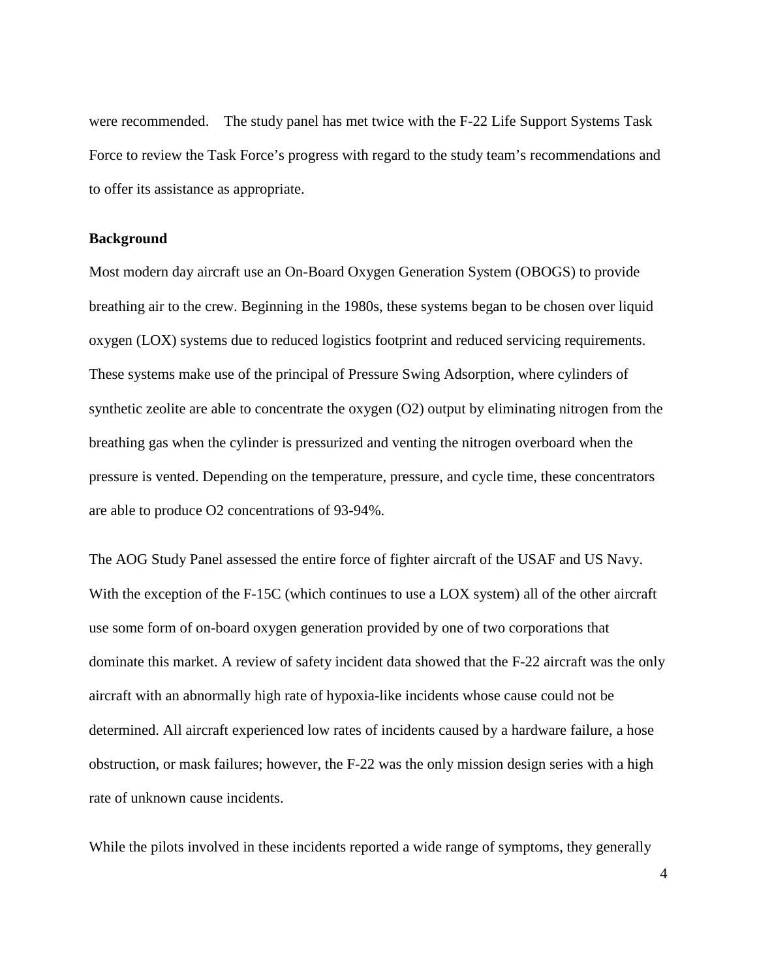were recommended. The study panel has met twice with the F-22 Life Support Systems Task Force to review the Task Force's progress with regard to the study team's recommendations and to offer its assistance as appropriate.

### **Background**

Most modern day aircraft use an On-Board Oxygen Generation System (OBOGS) to provide breathing air to the crew. Beginning in the 1980s, these systems began to be chosen over liquid oxygen (LOX) systems due to reduced logistics footprint and reduced servicing requirements. These systems make use of the principal of Pressure Swing Adsorption, where cylinders of synthetic zeolite are able to concentrate the oxygen (O2) output by eliminating nitrogen from the breathing gas when the cylinder is pressurized and venting the nitrogen overboard when the pressure is vented. Depending on the temperature, pressure, and cycle time, these concentrators are able to produce O2 concentrations of 93-94%.

The AOG Study Panel assessed the entire force of fighter aircraft of the USAF and US Navy. With the exception of the F-15C (which continues to use a LOX system) all of the other aircraft use some form of on-board oxygen generation provided by one of two corporations that dominate this market. A review of safety incident data showed that the F-22 aircraft was the only aircraft with an abnormally high rate of hypoxia-like incidents whose cause could not be determined. All aircraft experienced low rates of incidents caused by a hardware failure, a hose obstruction, or mask failures; however, the F-22 was the only mission design series with a high rate of unknown cause incidents.

While the pilots involved in these incidents reported a wide range of symptoms, they generally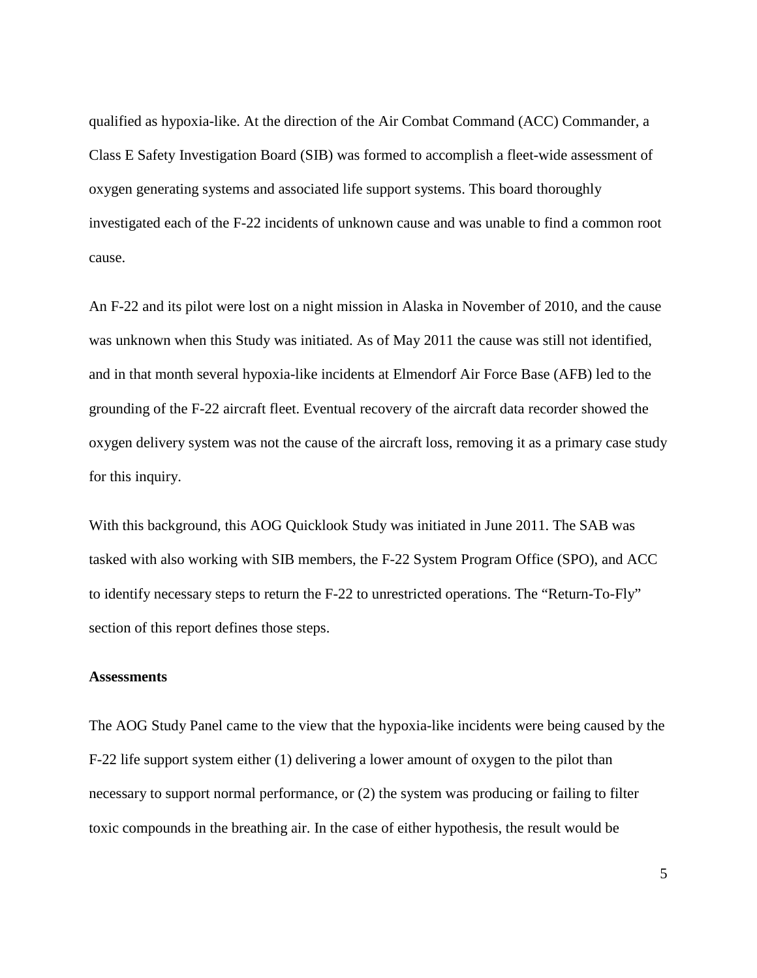qualified as hypoxia-like. At the direction of the Air Combat Command (ACC) Commander, a Class E Safety Investigation Board (SIB) was formed to accomplish a fleet-wide assessment of oxygen generating systems and associated life support systems. This board thoroughly investigated each of the F-22 incidents of unknown cause and was unable to find a common root cause.

An F-22 and its pilot were lost on a night mission in Alaska in November of 2010, and the cause was unknown when this Study was initiated. As of May 2011 the cause was still not identified, and in that month several hypoxia-like incidents at Elmendorf Air Force Base (AFB) led to the grounding of the F-22 aircraft fleet. Eventual recovery of the aircraft data recorder showed the oxygen delivery system was not the cause of the aircraft loss, removing it as a primary case study for this inquiry.

With this background, this AOG Quicklook Study was initiated in June 2011. The SAB was tasked with also working with SIB members, the F-22 System Program Office (SPO), and ACC to identify necessary steps to return the F-22 to unrestricted operations. The "Return-To-Fly" section of this report defines those steps.

#### **Assessments**

The AOG Study Panel came to the view that the hypoxia-like incidents were being caused by the F-22 life support system either (1) delivering a lower amount of oxygen to the pilot than necessary to support normal performance, or (2) the system was producing or failing to filter toxic compounds in the breathing air. In the case of either hypothesis, the result would be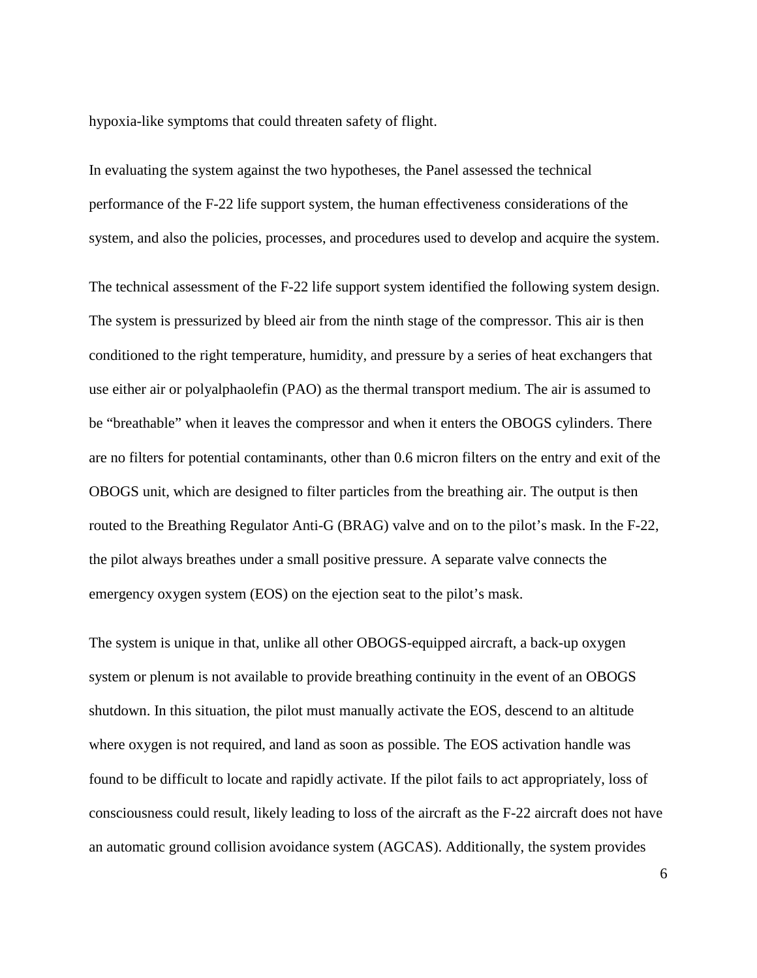hypoxia-like symptoms that could threaten safety of flight.

In evaluating the system against the two hypotheses, the Panel assessed the technical performance of the F-22 life support system, the human effectiveness considerations of the system, and also the policies, processes, and procedures used to develop and acquire the system.

The technical assessment of the F-22 life support system identified the following system design. The system is pressurized by bleed air from the ninth stage of the compressor. This air is then conditioned to the right temperature, humidity, and pressure by a series of heat exchangers that use either air or polyalphaolefin (PAO) as the thermal transport medium. The air is assumed to be "breathable" when it leaves the compressor and when it enters the OBOGS cylinders. There are no filters for potential contaminants, other than 0.6 micron filters on the entry and exit of the OBOGS unit, which are designed to filter particles from the breathing air. The output is then routed to the Breathing Regulator Anti-G (BRAG) valve and on to the pilot's mask. In the F-22, the pilot always breathes under a small positive pressure. A separate valve connects the emergency oxygen system (EOS) on the ejection seat to the pilot's mask.

The system is unique in that, unlike all other OBOGS-equipped aircraft, a back-up oxygen system or plenum is not available to provide breathing continuity in the event of an OBOGS shutdown. In this situation, the pilot must manually activate the EOS, descend to an altitude where oxygen is not required, and land as soon as possible. The EOS activation handle was found to be difficult to locate and rapidly activate. If the pilot fails to act appropriately, loss of consciousness could result, likely leading to loss of the aircraft as the F-22 aircraft does not have an automatic ground collision avoidance system (AGCAS). Additionally, the system provides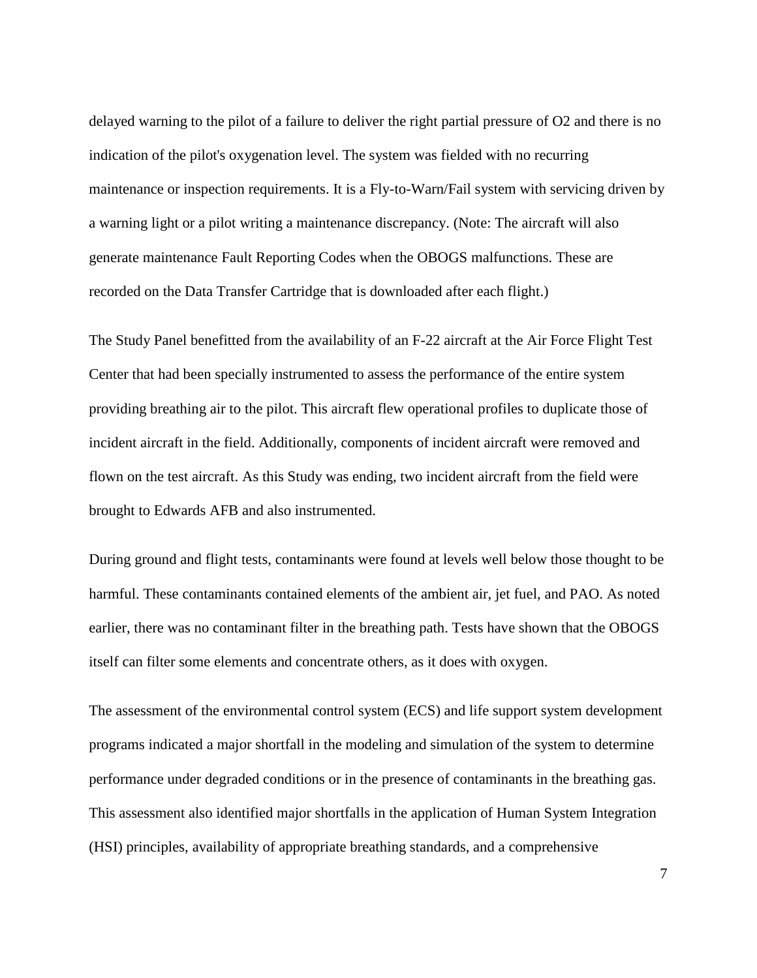delayed warning to the pilot of a failure to deliver the right partial pressure of O2 and there is no indication of the pilot's oxygenation level. The system was fielded with no recurring maintenance or inspection requirements. It is a Fly-to-Warn/Fail system with servicing driven by a warning light or a pilot writing a maintenance discrepancy. (Note: The aircraft will also generate maintenance Fault Reporting Codes when the OBOGS malfunctions. These are recorded on the Data Transfer Cartridge that is downloaded after each flight.)

The Study Panel benefitted from the availability of an F-22 aircraft at the Air Force Flight Test Center that had been specially instrumented to assess the performance of the entire system providing breathing air to the pilot. This aircraft flew operational profiles to duplicate those of incident aircraft in the field. Additionally, components of incident aircraft were removed and flown on the test aircraft. As this Study was ending, two incident aircraft from the field were brought to Edwards AFB and also instrumented.

During ground and flight tests, contaminants were found at levels well below those thought to be harmful. These contaminants contained elements of the ambient air, jet fuel, and PAO. As noted earlier, there was no contaminant filter in the breathing path. Tests have shown that the OBOGS itself can filter some elements and concentrate others, as it does with oxygen.

The assessment of the environmental control system (ECS) and life support system development programs indicated a major shortfall in the modeling and simulation of the system to determine performance under degraded conditions or in the presence of contaminants in the breathing gas. This assessment also identified major shortfalls in the application of Human System Integration (HSI) principles, availability of appropriate breathing standards, and a comprehensive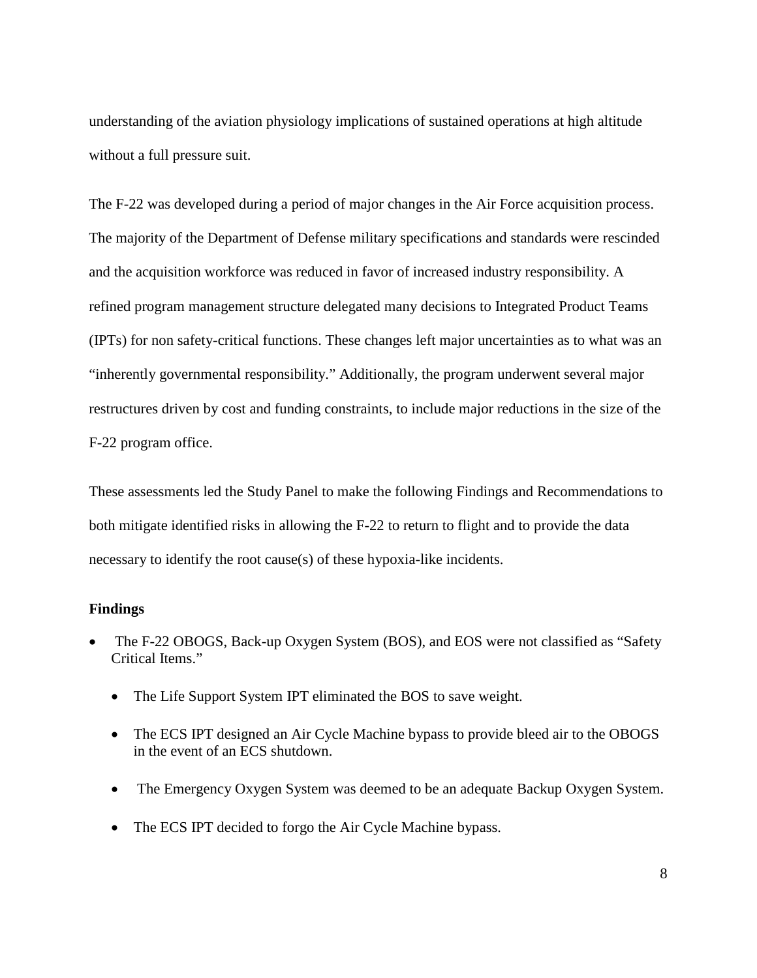understanding of the aviation physiology implications of sustained operations at high altitude without a full pressure suit.

The F-22 was developed during a period of major changes in the Air Force acquisition process. The majority of the Department of Defense military specifications and standards were rescinded and the acquisition workforce was reduced in favor of increased industry responsibility. A refined program management structure delegated many decisions to Integrated Product Teams (IPTs) for non safety-critical functions. These changes left major uncertainties as to what was an "inherently governmental responsibility." Additionally, the program underwent several major restructures driven by cost and funding constraints, to include major reductions in the size of the F-22 program office.

These assessments led the Study Panel to make the following Findings and Recommendations to both mitigate identified risks in allowing the F-22 to return to flight and to provide the data necessary to identify the root cause(s) of these hypoxia-like incidents.

### **Findings**

- The F-22 OBOGS, Back-up Oxygen System (BOS), and EOS were not classified as "Safety Critical Items."
	- The Life Support System IPT eliminated the BOS to save weight.
	- The ECS IPT designed an Air Cycle Machine bypass to provide bleed air to the OBOGS in the event of an ECS shutdown.
	- The Emergency Oxygen System was deemed to be an adequate Backup Oxygen System.
	- The ECS IPT decided to forgo the Air Cycle Machine bypass.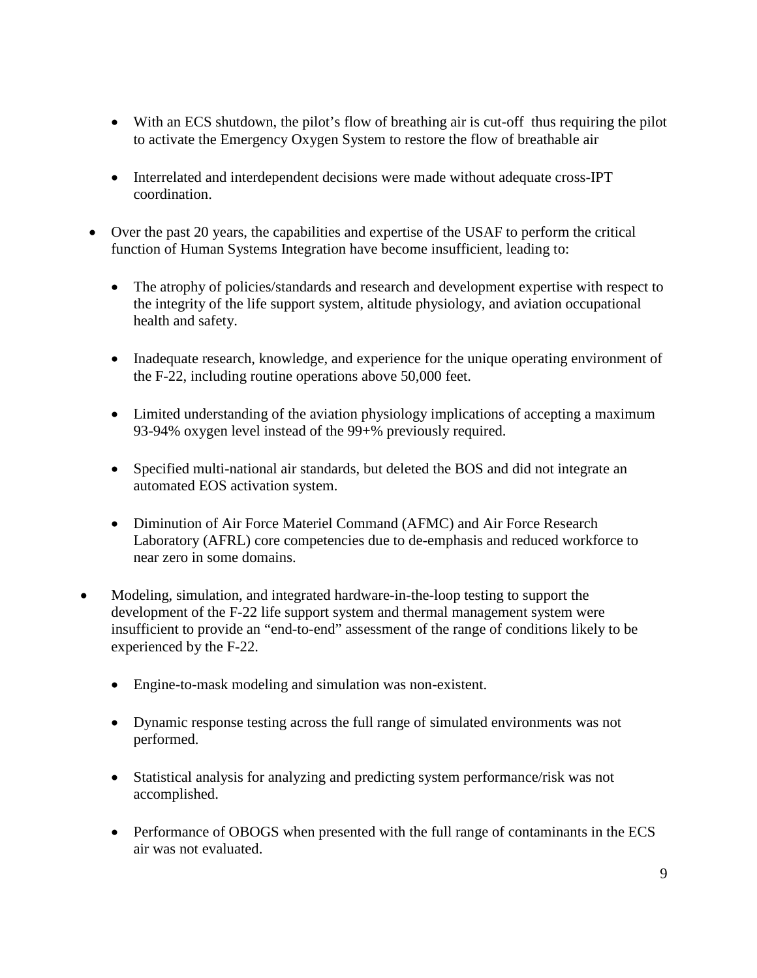- With an ECS shutdown, the pilot's flow of breathing air is cut-off thus requiring the pilot to activate the Emergency Oxygen System to restore the flow of breathable air
- Interrelated and interdependent decisions were made without adequate cross-IPT coordination.
- Over the past 20 years, the capabilities and expertise of the USAF to perform the critical function of Human Systems Integration have become insufficient, leading to:
	- The atrophy of policies/standards and research and development expertise with respect to the integrity of the life support system, altitude physiology, and aviation occupational health and safety.
	- Inadequate research, knowledge, and experience for the unique operating environment of the F-22, including routine operations above 50,000 feet.
	- Limited understanding of the aviation physiology implications of accepting a maximum 93-94% oxygen level instead of the 99+% previously required.
	- Specified multi-national air standards, but deleted the BOS and did not integrate an automated EOS activation system.
	- Diminution of Air Force Materiel Command (AFMC) and Air Force Research Laboratory (AFRL) core competencies due to de-emphasis and reduced workforce to near zero in some domains.
- Modeling, simulation, and integrated hardware-in-the-loop testing to support the development of the F-22 life support system and thermal management system were insufficient to provide an "end-to-end" assessment of the range of conditions likely to be experienced by the F-22.
	- Engine-to-mask modeling and simulation was non-existent.
	- Dynamic response testing across the full range of simulated environments was not performed.
	- Statistical analysis for analyzing and predicting system performance/risk was not accomplished.
	- Performance of OBOGS when presented with the full range of contaminants in the ECS air was not evaluated.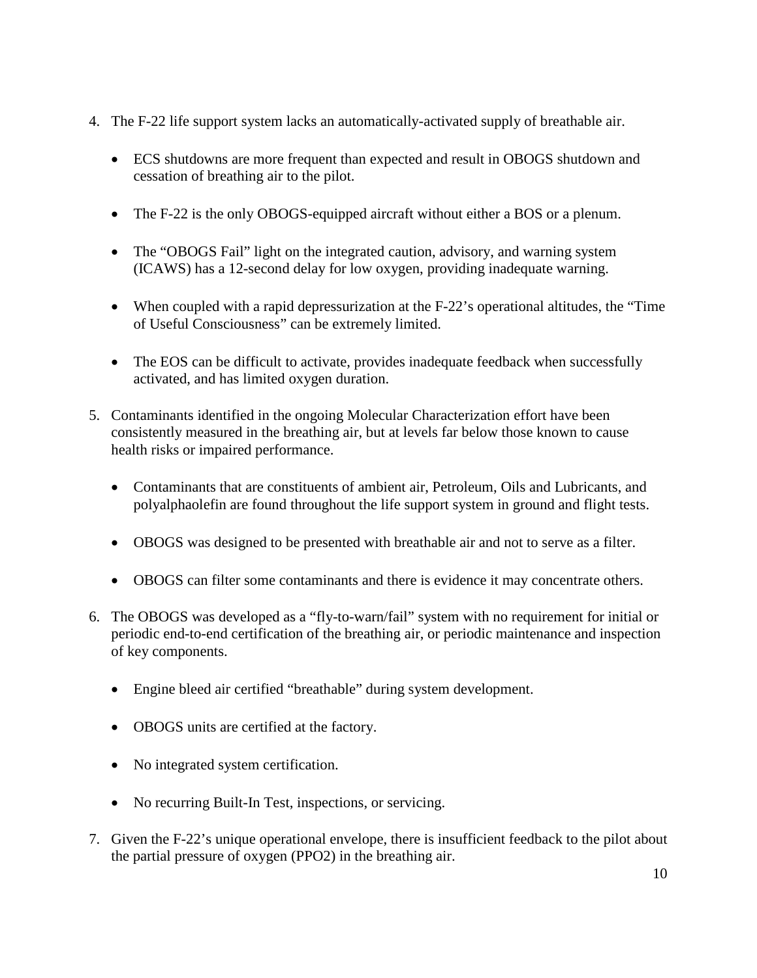- 4. The F-22 life support system lacks an automatically-activated supply of breathable air.
	- ECS shutdowns are more frequent than expected and result in OBOGS shutdown and cessation of breathing air to the pilot.
	- The F-22 is the only OBOGS-equipped aircraft without either a BOS or a plenum.
	- The "OBOGS Fail" light on the integrated caution, advisory, and warning system (ICAWS) has a 12-second delay for low oxygen, providing inadequate warning.
	- When coupled with a rapid depressurization at the F-22's operational altitudes, the "Time of Useful Consciousness" can be extremely limited.
	- The EOS can be difficult to activate, provides inadequate feedback when successfully activated, and has limited oxygen duration.
- 5. Contaminants identified in the ongoing Molecular Characterization effort have been consistently measured in the breathing air, but at levels far below those known to cause health risks or impaired performance.
	- Contaminants that are constituents of ambient air, Petroleum, Oils and Lubricants, and polyalphaolefin are found throughout the life support system in ground and flight tests.
	- OBOGS was designed to be presented with breathable air and not to serve as a filter.
	- OBOGS can filter some contaminants and there is evidence it may concentrate others.
- 6. The OBOGS was developed as a "fly-to-warn/fail" system with no requirement for initial or periodic end-to-end certification of the breathing air, or periodic maintenance and inspection of key components.
	- Engine bleed air certified "breathable" during system development.
	- OBOGS units are certified at the factory.
	- No integrated system certification.
	- No recurring Built-In Test, inspections, or servicing.
- 7. Given the F-22's unique operational envelope, there is insufficient feedback to the pilot about the partial pressure of oxygen (PPO2) in the breathing air.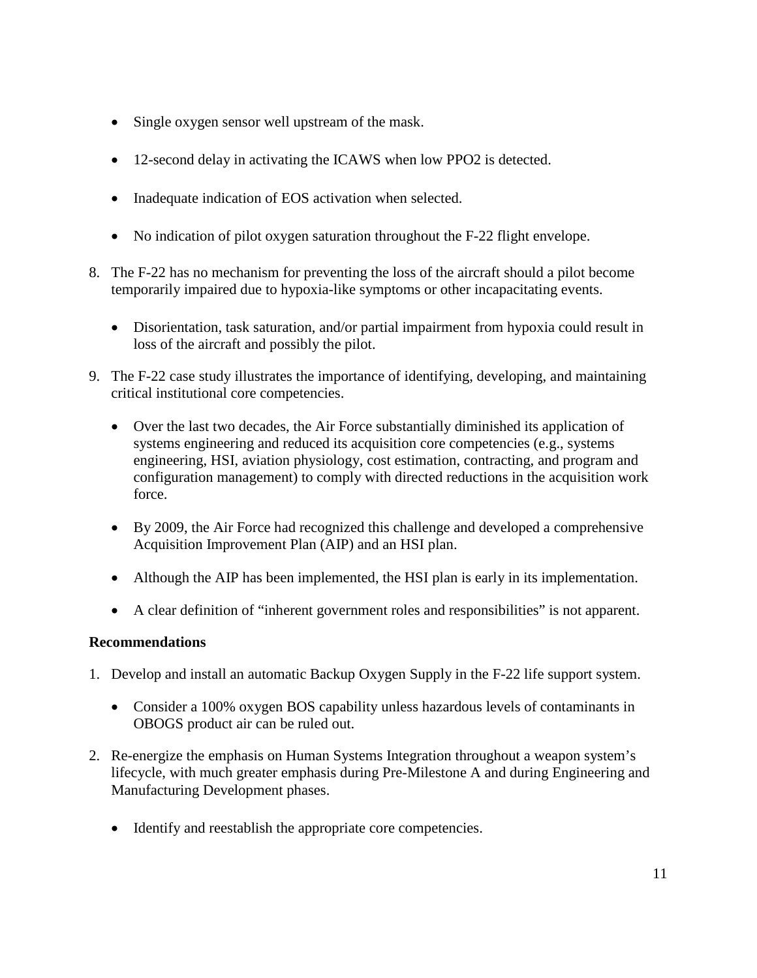- Single oxygen sensor well upstream of the mask.
- 12-second delay in activating the ICAWS when low PPO2 is detected.
- Inadequate indication of EOS activation when selected.
- No indication of pilot oxygen saturation throughout the F-22 flight envelope.
- 8. The F-22 has no mechanism for preventing the loss of the aircraft should a pilot become temporarily impaired due to hypoxia-like symptoms or other incapacitating events.
	- Disorientation, task saturation, and/or partial impairment from hypoxia could result in loss of the aircraft and possibly the pilot.
- 9. The F-22 case study illustrates the importance of identifying, developing, and maintaining critical institutional core competencies.
	- Over the last two decades, the Air Force substantially diminished its application of systems engineering and reduced its acquisition core competencies (e.g., systems engineering, HSI, aviation physiology, cost estimation, contracting, and program and configuration management) to comply with directed reductions in the acquisition work force.
	- By 2009, the Air Force had recognized this challenge and developed a comprehensive Acquisition Improvement Plan (AIP) and an HSI plan.
	- Although the AIP has been implemented, the HSI plan is early in its implementation.
	- A clear definition of "inherent government roles and responsibilities" is not apparent.

## **Recommendations**

- 1. Develop and install an automatic Backup Oxygen Supply in the F-22 life support system.
	- Consider a 100% oxygen BOS capability unless hazardous levels of contaminants in OBOGS product air can be ruled out.
- 2. Re-energize the emphasis on Human Systems Integration throughout a weapon system's lifecycle, with much greater emphasis during Pre-Milestone A and during Engineering and Manufacturing Development phases.
	- Identify and reestablish the appropriate core competencies.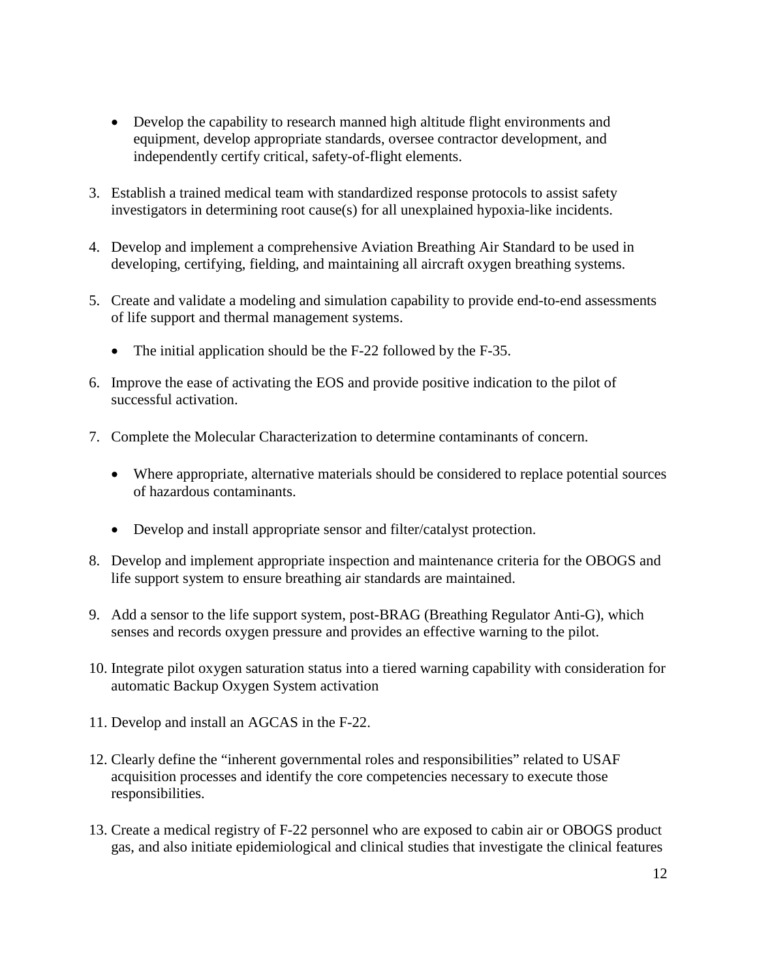- Develop the capability to research manned high altitude flight environments and equipment, develop appropriate standards, oversee contractor development, and independently certify critical, safety-of-flight elements.
- 3. Establish a trained medical team with standardized response protocols to assist safety investigators in determining root cause(s) for all unexplained hypoxia-like incidents.
- 4. Develop and implement a comprehensive Aviation Breathing Air Standard to be used in developing, certifying, fielding, and maintaining all aircraft oxygen breathing systems.
- 5. Create and validate a modeling and simulation capability to provide end-to-end assessments of life support and thermal management systems.
	- The initial application should be the F-22 followed by the F-35.
- 6. Improve the ease of activating the EOS and provide positive indication to the pilot of successful activation.
- 7. Complete the Molecular Characterization to determine contaminants of concern.
	- Where appropriate, alternative materials should be considered to replace potential sources of hazardous contaminants.
	- Develop and install appropriate sensor and filter/catalyst protection.
- 8. Develop and implement appropriate inspection and maintenance criteria for the OBOGS and life support system to ensure breathing air standards are maintained.
- 9. Add a sensor to the life support system, post-BRAG (Breathing Regulator Anti-G), which senses and records oxygen pressure and provides an effective warning to the pilot.
- 10. Integrate pilot oxygen saturation status into a tiered warning capability with consideration for automatic Backup Oxygen System activation
- 11. Develop and install an AGCAS in the F-22.
- 12. Clearly define the "inherent governmental roles and responsibilities" related to USAF acquisition processes and identify the core competencies necessary to execute those responsibilities.
- 13. Create a medical registry of F-22 personnel who are exposed to cabin air or OBOGS product gas, and also initiate epidemiological and clinical studies that investigate the clinical features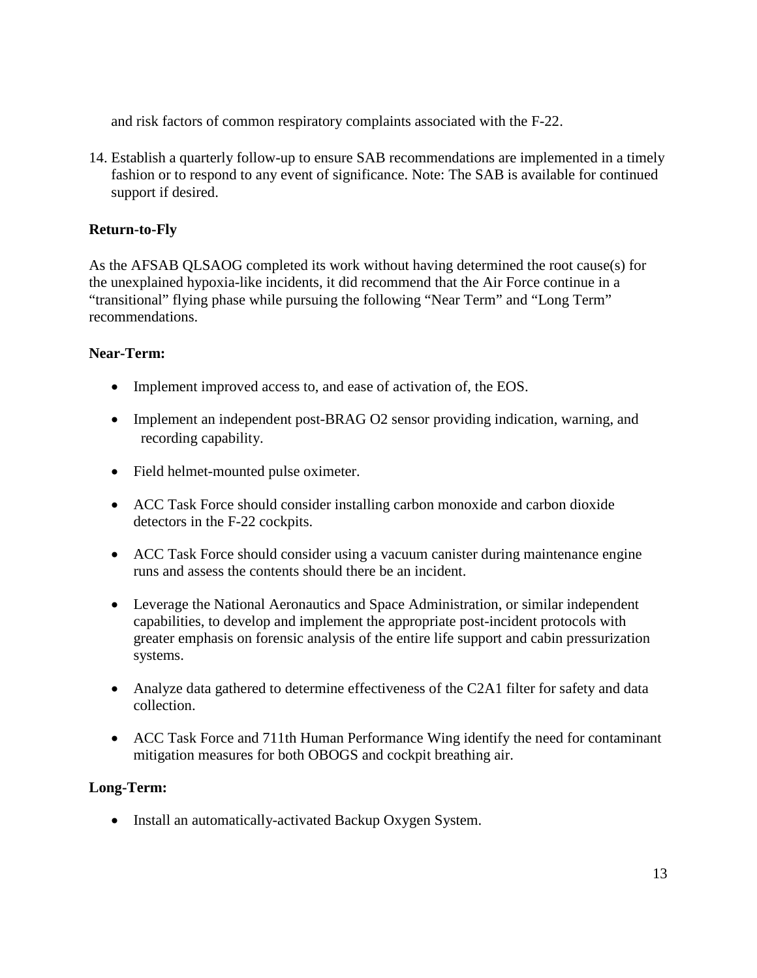and risk factors of common respiratory complaints associated with the F-22.

14. Establish a quarterly follow-up to ensure SAB recommendations are implemented in a timely fashion or to respond to any event of significance. Note: The SAB is available for continued support if desired.

## **Return-to-Fly**

As the AFSAB QLSAOG completed its work without having determined the root cause(s) for the unexplained hypoxia-like incidents, it did recommend that the Air Force continue in a "transitional" flying phase while pursuing the following "Near Term" and "Long Term" recommendations.

# **Near-Term:**

- Implement improved access to, and ease of activation of, the EOS.
- Implement an independent post-BRAG O2 sensor providing indication, warning, and recording capability.
- Field helmet-mounted pulse oximeter.
- ACC Task Force should consider installing carbon monoxide and carbon dioxide detectors in the F-22 cockpits.
- ACC Task Force should consider using a vacuum canister during maintenance engine runs and assess the contents should there be an incident.
- Leverage the National Aeronautics and Space Administration, or similar independent capabilities, to develop and implement the appropriate post-incident protocols with greater emphasis on forensic analysis of the entire life support and cabin pressurization systems.
- Analyze data gathered to determine effectiveness of the C2A1 filter for safety and data collection.
- ACC Task Force and 711th Human Performance Wing identify the need for contaminant mitigation measures for both OBOGS and cockpit breathing air.

# **Long-Term:**

• Install an automatically-activated Backup Oxygen System.